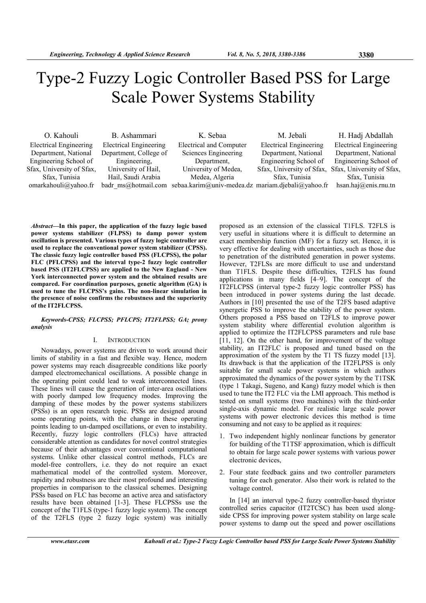# Type-2 Fuzzy Logic Controller Based PSS for Large Scale Power Systems Stability

| O. Kahouli                    | B. Ashammari                  | K. Sebaa                                                              | M. Jebali                     | H. Hadj Abdallah              |
|-------------------------------|-------------------------------|-----------------------------------------------------------------------|-------------------------------|-------------------------------|
| <b>Electrical Engineering</b> | <b>Electrical Engineering</b> | <b>Electrical and Computer</b>                                        | <b>Electrical Engineering</b> | <b>Electrical Engineering</b> |
| Department, National          | Department, College of        | Sciences Engineering                                                  | Department, National          | Department, National          |
| Engineering School of         | Engineering,                  | Department,                                                           | Engineering School of         | Engineering School of         |
| Sfax, University of Sfax,     | University of Hail,           | University of Medea,                                                  | Sfax, University of Sfax,     | Sfax, University of Sfax,     |
| Sfax, Tunisia                 | Hail, Saudi Arabia            | Medea, Algeria                                                        | Sfax, Tunisia                 | Sfax, Tunisia                 |
| omarkahouli@yahoo.fr          |                               | badr ms@hotmail.com sebaa.karim@univ-medea.dz mariam.djebali@yahoo.fr |                               | hsan.haj@enis.rnu.tn          |

Abstract—In this paper, the application of the fuzzy logic based power systems stabilizer (FLPSS) to damp power system oscillation is presented. Various types of fuzzy logic controller are used to replace the conventional power system stabilizer (CPSS). The classic fuzzy logic controller based PSS (FLCPSS), the polar FLC (PFLCPSS) and the interval type-2 fuzzy logic controller based PSS (IT2FLCPSS) are applied to the New England - New York interconnected power system and the obtained results are compared. For coordination purposes, genetic algorithm (GA) is used to tune the FLCPSS's gains. The non-linear simulation in the presence of noise confirms the robustness and the superiority of the IT2FLCPSS.

# Keywords-CPSS; FLCPSS; PFLCPS; IT2FLPSS; GA; prony analysis

# I. INTRODUCTION

Nowadays, power systems are driven to work around their limits of stability in a fast and flexible way. Hence, modern power systems may reach disagreeable conditions like poorly damped electromechanical oscillations. A possible change in the operating point could lead to weak interconnected lines. These lines will cause the generation of inter-area oscillations with poorly damped low frequency modes. Improving the damping of these modes by the power systems stabilizers (PSSs) is an open research topic. PSSs are designed around some operating points, with the change in these operating points leading to un-damped oscillations, or even to instability. Recently, fuzzy logic controllers (FLCs) have attracted considerable attention as candidates for novel control strategies because of their advantages over conventional computational systems. Unlike other classical control methods, FLCs are model-free controllers, i.e. they do not require an exact mathematical model of the controlled system. Moreover, rapidity and robustness are their most profound and interesting properties in comparison to the classical schemes. Designing PSSs based on FLC has become an active area and satisfactory results have been obtained [1-3]. These FLCPSSs use the concept of the T1FLS (type-1 fuzzy logic system). The concept of the T2FLS (type 2 fuzzy logic system) was initially

proposed as an extension of the classical T1FLS. T2FLS is very useful in situations where it is difficult to determine an exact membership function (MF) for a fuzzy set. Hence, it is very effective for dealing with uncertainties, such as those due to penetration of the distributed generation in power systems. However, T2FLSs are more difficult to use and understand than T1FLS. Despite these difficulties, T2FLS has found applications in many fields [4–9]. The concept of the IT2FLCPSS (interval type-2 fuzzy logic controller PSS) has been introduced in power systems during the last decade. Authors in [10] presented the use of the T2FS based adaptive synergetic PSS to improve the stability of the power system. Others proposed a PSS based on T2FLS to improve power system stability where differential evolution algorithm is applied to optimize the IT2FLCPSS parameters and rule base [11, 12]. On the other hand, for improvement of the voltage stability, an IT2FLC is proposed and tuned based on the approximation of the system by the T1 TS fuzzy model [13]. Its drawback is that the application of the IT2FLPSS is only suitable for small scale power systems in which authors approximated the dynamics of the power system by the T1TSK (type 1 Takagi, Sugeno, and Kang) fuzzy model which is then used to tune the IT2 FLC via the LMI approach. This method is tested on small systems (two machines) with the third-order single-axis dynamic model. For realistic large scale power systems with power electronic devices this method is time consuming and not easy to be applied as it requires:

- 1. Two independent highly nonlinear functions by generator for building of the T1TSF approximation, which is difficult to obtain for large scale power systems with various power electronic devices,
- 2. Four state feedback gains and two controller parameters tuning for each generator. Also their work is related to the voltage control.

In [14] an interval type-2 fuzzy controller-based thyristor controlled series capacitor (IT2TCSC) has been used alongside CPSS for improving power system stability on large scale power systems to damp out the speed and power oscillations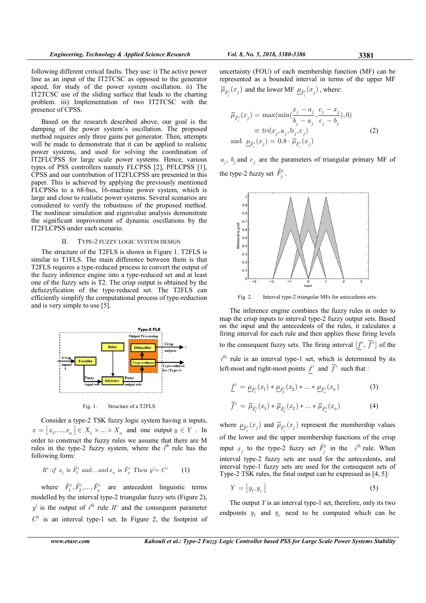following different critical faults. They use: i) The active power line as an input of the IT2TCSC as opposed to the generator speed, for study of the power system oscillation. ii) The IT2TCSC use of the sliding surface that leads to the charting problem. iii) Implementation of two IT2TCSC with the presence of CPSS.

Based on the research described above, our goal is the damping of the power system's oscillation. The proposed method requires only three gains per generator. Then, attempts will be made to demonstrate that it can be applied to realistic power systems, and used for solving the coordination of IT2FLCPSS for large scale power systems. Hence, various types of PSS controllers namely FLCPSS [2], PFLCPSS [1], CPSS and our contribution of IT2FLCPSS are presented in this paper. This is achieved by applying the previously mentioned FLCPSSs to a 68-bus, 16-machine power system, which is large and close to realistic power systems. Several scenarios are considered to verify the robustness of the proposed method. The nonlinear simulation and eigenvalue analysis demonstrate the significant improvement of dynamic oscillations by the IT2FLCPSS under each scenario.

### II. TYPE-2 FUZZY LOGIC SYSTEM DESIGN

The structure of the T2FLS is shown in Figure 1. T2FLS is similar to T1FLS. The main difference between them is that T2FLS requires a type-reduced process to convert the output of the fuzzy inference engine into a type-reduced set and at least one of the fuzzy sets is T2. The crisp output is obtained by the defuzzyfication of the type-reduced set. The T2FLS can efficiently simplify the computational process of type-reduction and is very simple to use [5].



Fig. 1. Structure of a T2FLS

Consider a type-2 TSK fuzzy logic system having n inputs,  $x = [x_1, ..., x_n] \in X_1 \times ... \times X_n$  and one output  $y \in Y$ . In order to construct the fuzzy rules we assume that there are M rules in the type-2 fuzzy system, where the  $i^{th}$  rule has the following form:

$$
R^i: if \ x_1 \text{ is } \tilde{F}_1^i \text{ and } \dots \text{ and } x_n \text{ is } \tilde{F}_n^i \text{ Then } y^i = C^i \tag{1}
$$

where  $\tilde{F}_1^i$ ,  $\tilde{F}_2^i$ , ...,  $\tilde{F}_n^i$  are antecedent linguistic terms modelled by the interval type-2 triangular fuzzy sets (Figure 2),  $y^i$  is the output of  $i^{th}$  rule  $R^i$  and the consequent parameter  $C<sup>i</sup>$  is an interval type-1 set. In Figure 2, the footprint of

uncertainty (FOU) of each membership function (MF) can be represented as a bounded interval in terms of the upper MF  $\overline{\mu}_{\tilde{F}_j^i}(x_j)$  and the lower MF  $\underline{\mu}_{\tilde{F}_j^i}(x_j)$ , where:

$$
\overline{\mu}_{\tilde{F}_j^i}(x_j) = \max(\min(\frac{x_j - a_j}{b_j - a_j}, \frac{c_j - x_j}{c_j - b_j}), 0) \n\equiv tri(x_j, a_j, b_j, c_j) \n\text{and } \underline{\mu}_{\tilde{F}_j^i}(x_j) = 0.8 \cdot \overline{\mu}_{\tilde{F}_j^i}(x_j)
$$
\n(2)

 $a_j$ ,  $b_j$  and  $c_j$  are the parameters of triangular primary MF of the type-2 fuzzy set  $\tilde{F}_j^i$ .



Fig. 2. Interval type-2 triangular MFs for antecedents sets.

The inference engine combines the fuzzy rules in order to map the crisp inputs to interval type-2 fuzzy output sets. Based on the input and the antecedents of the rules, it calculates a firing interval for each rule and then applies these firing levels to the consequent fuzzy sets. The firing interval  $[f^i, \overline{f}^i]$  of the  $i<sup>th</sup>$  rule is an interval type-1 set, which is determined by its left-most and right-most points  $f^i$  and  $\overline{f}^i$  such that :

$$
\underline{f}^i = \underline{\mu}_{\tilde{F}_1^i}(x_1) * \underline{\mu}_{\tilde{F}_2^i}(x_2) * ... * \underline{\mu}_{\tilde{F}_n^i}(x_n)
$$
(3)

$$
\overline{f}^i = \overline{\mu}_{\tilde{F}_1^i}(x_1) * \overline{\mu}_{\tilde{F}_2^i}(x_2) * ... * \overline{\mu}_{\tilde{F}_n^i}(x_n)
$$
(4)

where  $\mu_{\tilde{F}_j^i}(x_j)$  and  $\overline{\mu}_{\tilde{F}_j^i}(x_j)$  represent the membership values of the lower and the upper membership functions of the crisp input  $x_j$  to the type-2 fuzzy set  $\tilde{F}_j^i$  in the  $i^{th}$  rule. When interval type-2 fuzzy sets are used for the antecedents, and interval type-1 fuzzy sets are used for the consequent sets of Type-2 TSK rules, the final output can be expressed as [4, 5]:

$$
Y = [y_l, y_r]
$$
 (5)

The output  $Y$  is an interval type-1 set, therefore, only its two endpoints  $y_l$  and  $y_r$  need to be computed which can be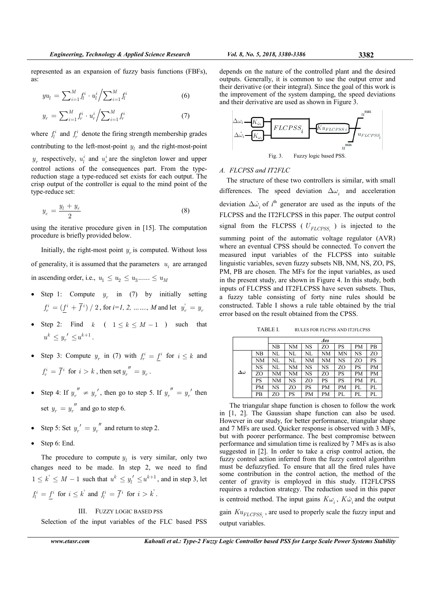represented as an expansion of fuzzy basis functions (FBFs), as:

$$
yu_l = \sum_{i=1}^{M} f_l^i \cdot u_l^i / \sum_{i=1}^{M} f_l^i
$$
 (6)

$$
y_r = \sum_{i=1}^{M} f_r^i \cdot u_r^i / \sum_{i=1}^{M} f_r^i
$$
 (7)

where  $f_l^i$  and  $f_r^i$  denote the firing strength membership grades contributing to the left-most-point  $y_l$  and the right-most-point  $y_r$  respectively,  $u_l^i$  and  $u_r^i$  are the singleton lower and upper control actions of the consequences part. From the typereduction stage a type-reduced set exists for each output. The crisp output of the controller is equal to the mind point of the type-reduce set:

$$
y_c = \frac{y_l + y_r}{2} \tag{8}
$$

using the iterative procedure given in [15]. The computation procedure is briefly provided below.

Initially, the right-most point  $y_r$  is computed. Without loss of generality, it is assumed that the parameters  $u_i$  are arranged in ascending order, i.e.,  $u_1 \leq u_2 \leq u_3$ ......  $\leq u_M$ 

- Step 1: Compute  $y_r$  in (7) by initially setting  $f_r^i = (\underline{f}^i + \overline{f}^i) / 2$ , for  $i=1, 2, \dots, M$  and let  $y'_r = y_r$
- Step 2: Find k (  $1 \le k \le M 1$  ) such that  $u^{k} \leq y_{r}^{\prime} \leq u^{k+1}$ .
- Step 3: Compute  $y_r$  in (7) with  $f_r^i = \underline{f}^i$  for  $i \leq k$  and  $f_r^i = \overline{f}^i$  for  $i > k$ , then set  $y_r^{'''} = y_r$ .
- Step 4: If  $y_r'' \neq y_r'$ , then go to step 5. If  $y_r'' = y_r'$  then set  $y_r = y_r''$  and go to step 6.
- Step 5: Set  $y_r' = y_r''$  and return to step 2.
- Step 6: End.

The procedure to compute  $y_l$  is very similar, only two changes need to be made. In step 2, we need to find  $1 \leq k' \leq M - 1$  such that  $u^k \leq y'_l \leq u^{k+1}$ , and in step 3, let  $f_l^i = \underline{f}^i$  for  $i \leq k$  and  $f_l^i = \overline{f}^i$  for  $i > k$ .

# III. FUZZY LOGIC BASED PSS

Selection of the input variables of the FLC based PSS

www.etasr.com Kahouli et al.: Type-2 Fuzzy Logic Controller based PSS for Large Scale Power Systems Stability

depends on the nature of the controlled plant and the desired outputs. Generally, it is common to use the output error and their derivative (or their integral). Since the goal of this work is the improvement of the system damping, the speed deviations and their derivative are used as shown in Figure 3.



# Fig. 3. Fuzzy logic based PSS.

# A. FLCPSS and IT2FLC

The structure of these two controllers is similar, with small differences. The speed deviation  $\Delta\omega_i$  and acceleration deviation  $\Delta \dot{\omega}_i$  of  $i^{\text{th}}$  generator are used as the inputs of the FLCPSS and the IT2FLCPSS in this paper. The output control signal from the FLCPSS ( $U_{FLCPSS_i}$ ) is injected to the summing point of the automatic voltage regulator (AVR) where an eventual CPSS should be connected. To convert the measured input variables of the FLCPSS into suitable linguistic variables, seven fuzzy subsets NB, NM, NS, ZO, PS, PM, PB are chosen. The MFs for the input variables, as used in the present study, are shown in Figure 4. In this study, both inputs of FLCPSS and IT2FLCPSS have seven subsets. Thus, a fuzzy table consisting of forty nine rules should be constructed. Table I shows a rule table obtained by the trial error based on the result obtained from the CPSS.

TABLE I. RULES FOR FLCPSS AND IT2FLCPSS

|                       |    | Δω |    |    |    |    |    |           |
|-----------------------|----|----|----|----|----|----|----|-----------|
|                       |    | NB | NΜ | NS | ZΟ | PS | PM | PВ        |
|                       | NΒ | NL | NL | NL | NΜ | MN | NS | ZO        |
|                       | NM | NL | NL | NΜ | NΜ | NS | ZO | PS        |
|                       | NS | NL | NΜ | NS | NS | ZO | PS | <b>PM</b> |
| $\Delta \dot{\omega}$ | ZΟ | NΜ | NΜ | NS | ZΟ | PS | PM | PM        |
|                       | PS | NΜ | NS | ZΟ | PS | PS | PM | PL        |
|                       | PM | NS | ZΟ | PS | PМ | PM | PL | PL        |
|                       | PВ | ZΟ | PS | PМ | PМ | PL | PL | PL        |

The triangular shape function is chosen to follow the work in [1, 2]. The Gaussian shape function can also be used. However in our study, for better performance, triangular shape and 7 MFs are used. Quicker response is observed with 3 MFs, but with poorer performance. The best compromise between performance and simulation time is realized by 7 MFs as is also suggested in [2]. In order to take a crisp control action, the fuzzy control action inferred from the fuzzy control algorithm must be defuzzyfied. To ensure that all the fired rules have some contribution in the control action, the method of the center of gravity is employed in this study. IT2FLCPSS requires a reduction strategy. The reduction used in this paper is centroid method. The input gains  $K\omega_i$ ,  $K\dot{\omega}_i$  and the output gain  $K u_{FLCPSS_i}$ , are used to properly scale the fuzzy input and output variables.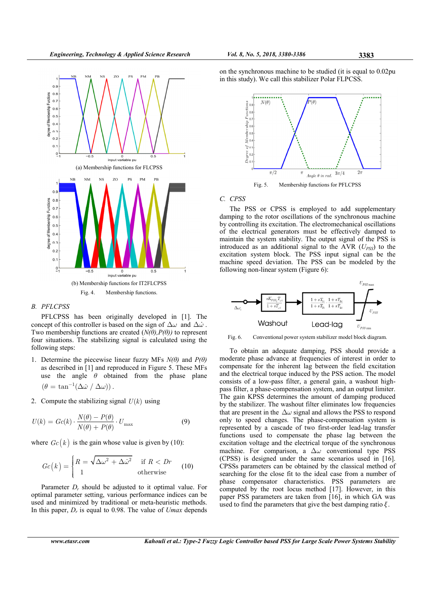

#### B. PFLCPSS

PFLCPSS has been originally developed in [1]. The concept of this controller is based on the sign of  $\Delta\omega$  and  $\Delta\dot{\omega}$ . Two membership functions are created  $(N(\theta), P(\theta))$  to represent four situations. The stabilizing signal is calculated using the following steps:

- 1. Determine the piecewise linear fuzzy MFs  $N(\theta)$  and  $P(\theta)$ as described in [1] and reproduced in Figure 5. These MFs use the angle  $\theta$  obtained from the phase plane  $(\theta = \tan^{-1}(\Delta \dot{\omega} / \Delta \omega))$ .
- 2. Compute the stabilizing signal  $U(k)$  using

$$
U(k) = Gc(k) \cdot \frac{N(\theta) - P(\theta)}{N(\theta) + P(\theta)} \cdot U_{\text{max}}
$$
\n(9)

where  $Gc(k)$  is the gain whose value is given by (10):

$$
Gc(k) = \begin{cases} R = \sqrt{\Delta\omega^2 + \Delta\dot{\omega}^2} & \text{if } R < Dr \\ 1 & \text{otherwise} \end{cases}
$$
 (10)

Parameter  $D_r$ , should be adjusted to it optimal value. For optimal parameter setting, various performance indices can be used and minimized by traditional or meta-heuristic methods. In this paper,  $D_r$  is equal to 0.98. The value of  $U$  max depends on the synchronous machine to be studied (it is equal to 0.02pu in this study). We call this stabilizer Polar FLPCSS.



# C. CPSS

The PSS or CPSS is employed to add supplementary damping to the rotor oscillations of the synchronous machine by controlling its excitation. The electromechanical oscillations of the electrical generators must be effectively damped to maintain the system stability. The output signal of the PSS is introduced as an additional signal to the AVR  $(U_{PSS})$  to the excitation system block. The PSS input signal can be the machine speed deviation. The PSS can be modeled by the following non-linear system (Figure 6):



Fig. 6. Conventional power system stabilizer model block diagram.

To obtain an adequate damping, PSS should provide a moderate phase advance at frequencies of interest in order to compensate for the inherent lag between the field excitation and the electrical torque induced by the PSS action. The model consists of a low-pass filter, a general gain, a washout highpass filter, a phase-compensation system, and an output limiter. The gain KPSS determines the amount of damping produced by the stabilizer. The washout filter eliminates low frequencies that are present in the  $\Delta\omega$  signal and allows the PSS to respond only to speed changes. The phase-compensation system is represented by a cascade of two first-order lead-lag transfer functions used to compensate the phase lag between the excitation voltage and the electrical torque of the synchronous machine. For comparison, a  $\Delta\omega$  conventional type PSS (CPSS) is designed under the same scenarios used in [16]. CPSSs parameters can be obtained by the classical method of searching for the close fit to the ideal case from a number of phase compensator characteristics. PSS parameters are computed by the root locus method [17]. However, in this paper PSS parameters are taken from [16], in which GA was used to find the parameters that give the best damping ratio  $\xi$ .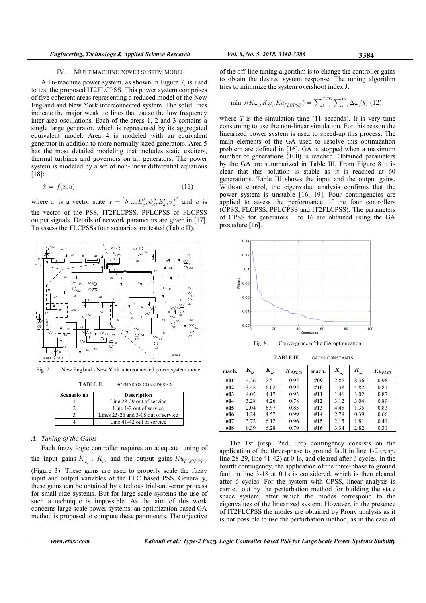#### IV. MULTIMACHINE POWER SYSTEM MODEL

A 16-machine power system, as shown in Figure 7, is used to test the proposed IT2FLCPSS. This power system comprises of five coherent areas representing a reduced model of the New England and New York interconnected system. The solid lines indicate the major weak tie lines that cause the low frequency inter-area oscillations. Each of the areas 1, 2 and 3 contains a single large generator, which is represented by its aggregated equivalent model. Area 4 is modeled with an equivalent generator in addition to more normally sized generators. Area 5 has the most detailed modeling that includes static exciters, thermal turbines and governors on all generators. The power system is modeled by a set of non-linear differential equations [18]:

$$
\dot{x} = f(x, u) \tag{11}
$$

where x is a vector state  $x = [\delta, \omega, E'_q, \psi''_q, E'_q, \psi''_s]$  and u is the vector of the PSS, IT2FLCPSS, PFLCPSS or FLCPSS output signals. Details of network parameters are given in [17]. To assess the FLCPSSs four scenarios are tested (Table II).



Fig. 7. New England - New York interconnected power system model

TABLE II. SCENARIOS CONSIDERED

| Scenario no | <b>Description</b>                  |
|-------------|-------------------------------------|
|             | Line 28-29 out of service           |
|             | Line 1-2 out of service             |
|             | Lines 25-26 and 3-18 out of service |
|             | Line 41-42 out of service           |

# A. Tuning of the Gains

Each fuzzy logic controller requires an adequate tuning of the input gains  $K_{\omega_i}$ ,  $K_{\dot{\omega}_i}$  and the output gains  $K u_{FLCPSS\ i}$ (Figure 3). These gains are used to properly scale the fuzzy input and output variables of the FLC based PSS. Generally, these gains can be obtained by a tedious trial-and-error process for small size systems. But for large scale systems the use of such a technique is impossible. As the aim of this work concerns large scale power systems, an optimization based GA method is proposed to compute these parameters. The objective

$$
\min J(K\omega_i, K\dot{\omega}_i, Ku_{FLCPSS_i}) = \sum_{k=1}^{T/Ts} \sum_{i=1}^{16} \Delta \omega_i(k)
$$
 (12)

where  $T$  is the simulation time (11 seconds). It is very time consuming to use the non-linear simulation. For this reason the linearized power system is used to speed-up this process. The main elements of the GA used to resolve this optimization problem are defined in [16]. GA is stopped when a maximum number of generations (100) is reached. Obtained parameters by the GA are summarized in Table III. From Figure 8 it is clear that this solution is stable as it is reached at 60 generations. Table III shows the input and the output gains. Without control, the eigenvalue analysis confirms that the power system is unstable [16, 19]. Four contingencies are applied to assess the performance of the four controllers (CPSS, FLCPSS, PFLCPSS and IT2FLCPSS). The parameters of CPSS for generators 1 to 16 are obtained using the GA procedure [16].



Fig. 8. Convergence of the GA optimization

mach.  $K_{\omega}$  $K_{\omega}$  $Ku_{FLCi}$  mach.  $K_{\omega}$  $K_{\omega_i} \quad | \quad K_{\dot{\omega}_i}$  $K\boldsymbol{u}_{FLCi}$ #01 4.26 2.51 0.95 #09 2.86 8.36 0.98 #02 3.42 6.62 0.95 #10 1.38 4.82 0.81 #03 4.05 4.17 0.93 #11 1.46 3.02 0.87 #04 3.28 4.26 0.78 #12 3.12 3.04 0.89 #05 2.04 6.97 0.85 #13 4.45 1.35 0.83 #06 1.24 4.57 0.99 #14 2.79 0.39 0.66

#07 3.72 6.12 0.96 #15 2.15 1.81 0.41 #08 0.39 6.28 0.79 #16 3.34 2.82 0.31

TABLE III. GAINS CONSTANTS

The 1st (resp. 2nd, 3rd) contingency consists on the application of the three-phase to ground fault in line 1-2 (resp. line 28-29, line 41-42) at 0.1s, and cleared after 6 cycles. In the fourth contingency, the application of the three-phase to ground fault in line 3-18 at 0.1s is considered, which is then cleared after 6 cycles. For the system with CPSS, linear analysis is carried out by the perturbation method for building the state space system, after which the modes correspond to the eigenvalues of the linearized system. However, in the presence of IT2FLCPSS the modes are obtained by Prony analysis as it is not possible to use the perturbation method, as in the case of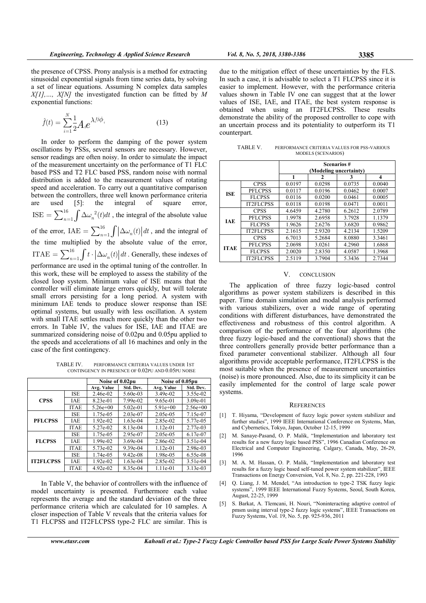the presence of CPSS. Prony analysis is a method for extracting sinusoidal exponential signals from time series data, by solving a set of linear equations. Assuming N complex data samples  $X[1],..., X[N]$  the investigated function can be fitted by M exponential functions:

$$
\hat{f}(t) = \sum_{i=1}^{N} \frac{1}{2} A_i e^{\lambda_i t \phi_i}
$$
\n(13)

N

In order to perform the damping of the power system oscillations by PSSs, several sensors are necessary. However, sensor readings are often noisy. In order to simulate the impact of the measurement uncertainty on the performance of T1 FLC based PSS and T2 FLC based PSS, random noise with normal distribution is added to the measurement values of rotating speed and acceleration. To carry out a quantitative comparison between the controllers, three well known performance criteria are used [5]: the integral of square error,  $16 \int \Lambda_{\odot}$ , 2 ISE  $=$   $\sum_{n=1}^{16} \int \Delta \omega_n^2(t) dt$ , the integral of the absolute value of the error,  $IAE = \sum_{n=1}^{16} \int \left| \Delta \omega_n(t) \right| dt$ , and the integral of the time multiplied by the absolute value of the error, 16 ITAE  $=\sum_{n=1}^{16} \int t \cdot |\Delta \omega_n(t)| dt$ . Generally, these indexes of performance are used in the optimal tuning of the controller. In this work, these will be employed to assess the stability of the closed loop system. Minimum value of ISE means that the controller will eliminate large errors quickly, but will tolerate small errors persisting for a long period. A system with minimum IAE tends to produce slower response than ISE optimal systems, but usually with less oscillation. A system with small ITAE settles much more quickly than the other two errors. In Table IV, the values for ISE, IAE and ITAE are summarized considering noise of 0.02pu and 0.05pu applied to the speeds and accelerations of all 16 machines and only in the case of the first contingency.

TABLE IV. PERFORMANCE CRITERIA VALUES UNDER 1ST CONTINGENCY IN PRESENCE OF 0.02PU AND 0.05PU NOISE

|                  |             | Noise of 0.02pu |            | Noise of 0.05pu |            |  |
|------------------|-------------|-----------------|------------|-----------------|------------|--|
|                  |             | Avg. Value      | Std. Dev.  | Avg. Value      | Std. Dev.  |  |
| <b>CPSS</b>      | ISE         | 2.46e-02        | 5.60e-03   | 3.49e-02        | 3.55e-02   |  |
|                  | IAE         | 8.23e-01        | 7.99e-02   | 9.65e-01        | $3.09e-01$ |  |
|                  | <b>ITAE</b> | $5.26e+00$      | $5.02e-01$ | $5.91e+00$      | $2.56e+00$ |  |
| <b>PFLCPSS</b>   | <b>ISE</b>  | 1.75e-05        | 2.03e-07   | 2.05e-05        | 7.15e-07   |  |
|                  | IAE         | 1.92e-02        | $1.63e-04$ | 2.85e-02        | 5.77e-05   |  |
|                  | <b>ITAE</b> | 5.27e-02        | 8.13e-04   | $1.12e-01$      | 2.77e-03   |  |
| <b>FLCPSS</b>    | ISE         | 1.75e-05        | 2.95e-07   | 2.05e-05        | 6.17e-07   |  |
|                  | IAE         | 1.99e-02        | $3.69e-04$ | 2.86e-02        | 3.51e-04   |  |
|                  | <b>ITAE</b> | 5.73e-02        | $9.39e-04$ | $1.12e-01$      | 2.98e-03   |  |
| <b>IT2FLCPSS</b> | <b>ISE</b>  | $1.74e-0.5$     | $9.42e-08$ | 1.98e-05        | 6.55e-08   |  |
|                  | IAE         | 1.92e-02        | $1.63e-04$ | 2.85e-02        | 3.51e-04   |  |
|                  | <b>ITAE</b> | $4.92e-02$      | 8.35e-04   | 1.11e-01        | 3.13e-03   |  |

In Table V, the behavior of controllers with the influence of model uncertainty is presented. Furthermore each value represents the average and the standard deviation of the three performance criteria which are calculated for 10 samples. A closer inspection of Table V reveals that the criteria values for T1 FLCPSS and IT2FLCPSS type-2 FLC are similar. This is

due to the mitigation effect of these uncertainties by the FLS. In such a case, it is advisable to select a T1 FLCPSS since it is easier to implement. However, with the performance criteria values shown in Table IV one can suggest that at the lower values of ISE, IAE, and ITAE, the best system response is obtained when using an IT2FLCPSS. These results demonstrate the ability of the proposed controller to cope with an uncertain process and its potentiality to outperform its T1 counterpart.

TABLE V. PERFORMANCE CRITERIA VALUES FOR PSS-VARIOUS MODELS (SCENARIOS)

|             |                  | <b>Scenarios#</b>      |        |        |                     |  |  |
|-------------|------------------|------------------------|--------|--------|---------------------|--|--|
|             |                  | (Modeling uncertainty) |        |        |                     |  |  |
|             |                  | 1                      | 2      | 3      | $\overline{\bf{4}}$ |  |  |
| <b>ISE</b>  | <b>CPSS</b>      | 0.0197                 | 0.0298 | 0.0735 | 0.0040              |  |  |
|             | PFLCPSS          | 0.0117                 | 0.0196 | 0.0462 | 0.0007              |  |  |
|             | <b>FLCPSS</b>    | 0.0116                 | 0.0200 | 0.0461 | 0.0005              |  |  |
|             | <b>IT2FLCPSS</b> | 0.0118                 | 0.0198 | 0.0471 | 0.0011              |  |  |
| <b>JAE</b>  | <b>CPSS</b>      | 4.6459                 | 4.2780 | 6.2612 | 2.0789              |  |  |
|             | PFLCPSS          | 1.9978                 | 2.6958 | 3.7928 | 1.1379              |  |  |
|             | <b>FLCPSS</b>    | 1.9626                 | 2.6276 | 3.6820 | 0.9862              |  |  |
|             | <b>IT2FLCPSS</b> | 2.1615                 | 2.9320 | 4.2134 | 1.5209              |  |  |
| <b>ITAE</b> | <b>CPSS</b>      | 6.7013                 | 5.2684 | 8.0880 | 3.3461              |  |  |
|             | PFLCPSS          | 2.0698                 | 3.0261 | 4.2960 | 1.6868              |  |  |
|             | <b>FLCPSS</b>    | 2.0020                 | 2.8350 | 4.0587 | 1.3968              |  |  |
|             | <b>IT2FLCPSS</b> | 2.5119                 | 3.7904 | 5.3436 | 2.7344              |  |  |

#### V. CONCLUSION

The application of three fuzzy logic-based control algorithms as power system stabilizers is described in this paper. Time domain simulation and modal analysis performed with various stabilizers, over a wide range of operating conditions with different disturbances, have demonstrated the effectiveness and robustness of this control algorithm. A comparison of the performance of the four algorithms (the three fuzzy logic-based and the conventional) shows that the three controllers generally provide better performance than a fixed parameter conventional stabilizer. Although all four algorithms provide acceptable performance, IT2FLCPSS is the most suitable when the presence of measurement uncertainties (noise) is more pronounced. Also, due to its simplicity it can be easily implemented for the control of large scale power systems.

#### **REFERENCES**

- [1] T. Hiyama, "Development of fuzzy logic power system stabilizer and further studies", 1999 IEEE International Conference on Systems, Man, and Cybernetics, Tokyo, Japan, October 12-15, 1999
- M. Sanaye-Pasand, O. P. Malik, "Implementation and laboratory test results for a new fuzzy logic based PSS", 1996 Canadian Conference on Electrical and Computer Engineering, Calgary, Canada, May, 26-29, 1996
- [3] M. A. M. Hassan, O. P. Malik, "Implementation and laboratory test results for a fuzzy logic based self-tuned power system stabilizer", IEEE Transactions on Energy Conversion, Vol. 8, No. 2, pp. 221-228, 1993
- [4] Q. Liang, J. M. Mendel, "An introduction to type-2 TSK fuzzy logic systems", 1999 IEEE International Fuzzy Systems, Seoul, South Korea, August, 22-25, 1999
- [5] S. Barkat, A. Tlemcani, H. Nouri, "Noninteracting adaptive control of pmsm using interval type-2 fuzzy logic systems", IEEE Transactions on Fuzzy Systems, Vol. 19, No. 5, pp. 925-936, 2011